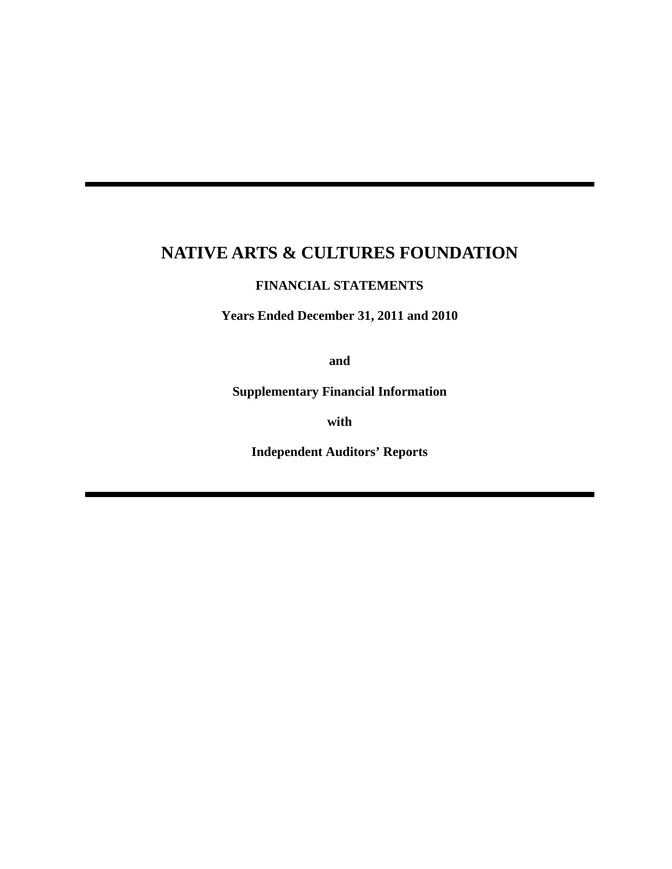## **FINANCIAL STATEMENTS**

**Years Ended December 31, 2011 and 2010** 

**and** 

**Supplementary Financial Information** 

**with** 

**Independent Auditors' Reports**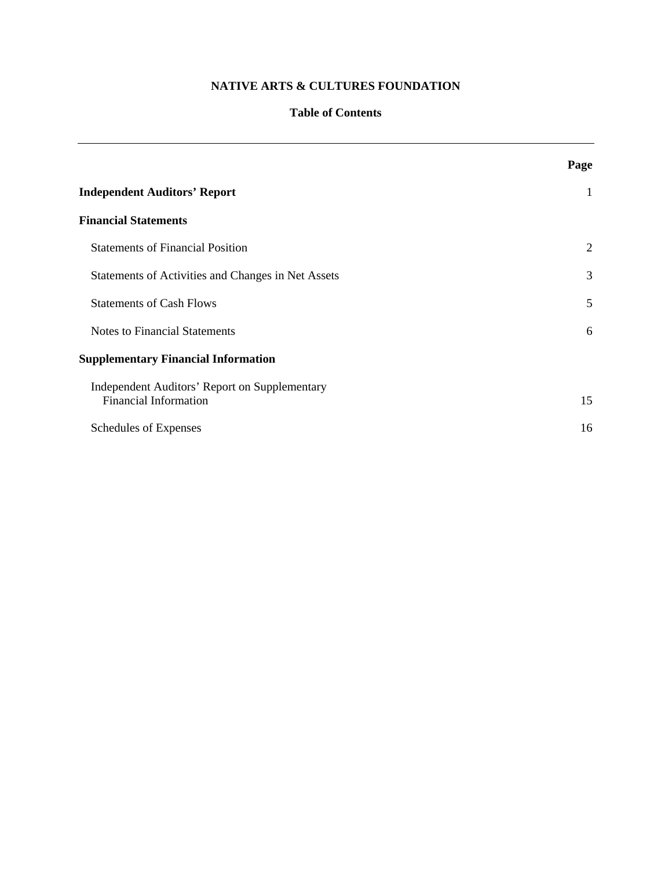## **Table of Contents**

|                                                                                      | Page         |
|--------------------------------------------------------------------------------------|--------------|
| <b>Independent Auditors' Report</b>                                                  | $\mathbf{1}$ |
| <b>Financial Statements</b>                                                          |              |
| <b>Statements of Financial Position</b>                                              | 2            |
| Statements of Activities and Changes in Net Assets                                   | 3            |
| <b>Statements of Cash Flows</b>                                                      | 5            |
| <b>Notes to Financial Statements</b>                                                 | 6            |
| <b>Supplementary Financial Information</b>                                           |              |
| <b>Independent Auditors' Report on Supplementary</b><br><b>Financial Information</b> | 15           |
| Schedules of Expenses                                                                | 16           |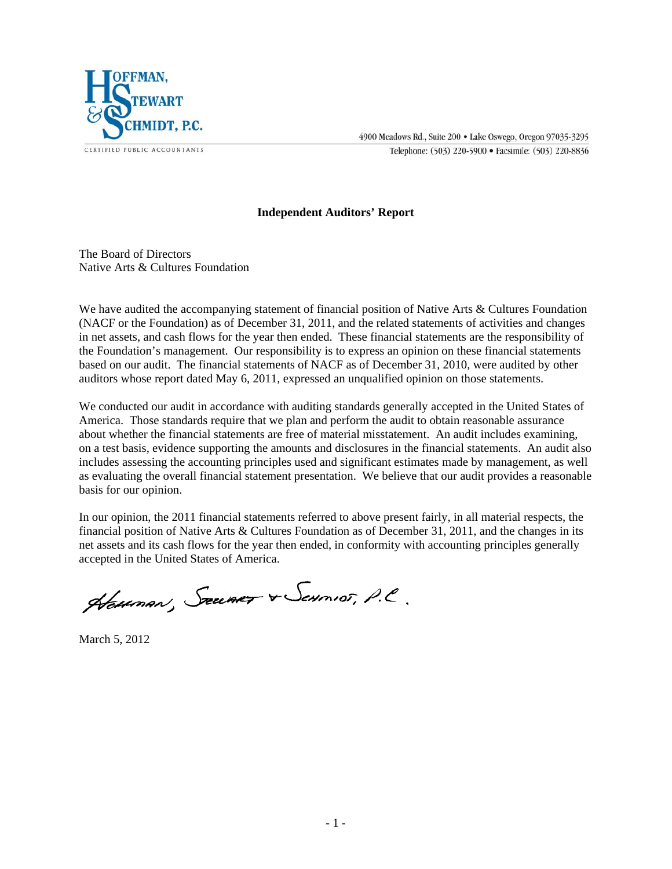

4900 Meadows Rd., Suite 200 . Lake Oswego, Oregon 97035-3295

Telephone: (503) 220-5900 · Facsimile: (503) 220-8836

## **Independent Auditors' Report**

The Board of Directors Native Arts & Cultures Foundation

We have audited the accompanying statement of financial position of Native Arts & Cultures Foundation (NACF or the Foundation) as of December 31, 2011, and the related statements of activities and changes in net assets, and cash flows for the year then ended. These financial statements are the responsibility of the Foundation's management. Our responsibility is to express an opinion on these financial statements based on our audit. The financial statements of NACF as of December 31, 2010, were audited by other auditors whose report dated May 6, 2011, expressed an unqualified opinion on those statements.

We conducted our audit in accordance with auditing standards generally accepted in the United States of America. Those standards require that we plan and perform the audit to obtain reasonable assurance about whether the financial statements are free of material misstatement. An audit includes examining, on a test basis, evidence supporting the amounts and disclosures in the financial statements. An audit also includes assessing the accounting principles used and significant estimates made by management, as well as evaluating the overall financial statement presentation. We believe that our audit provides a reasonable basis for our opinion.

In our opinion, the 2011 financial statements referred to above present fairly, in all material respects, the financial position of Native Arts & Cultures Foundation as of December 31, 2011, and the changes in its net assets and its cash flows for the year then ended, in conformity with accounting principles generally accepted in the United States of America.

Hauman, Szumer & Samos, P.C.

March 5, 2012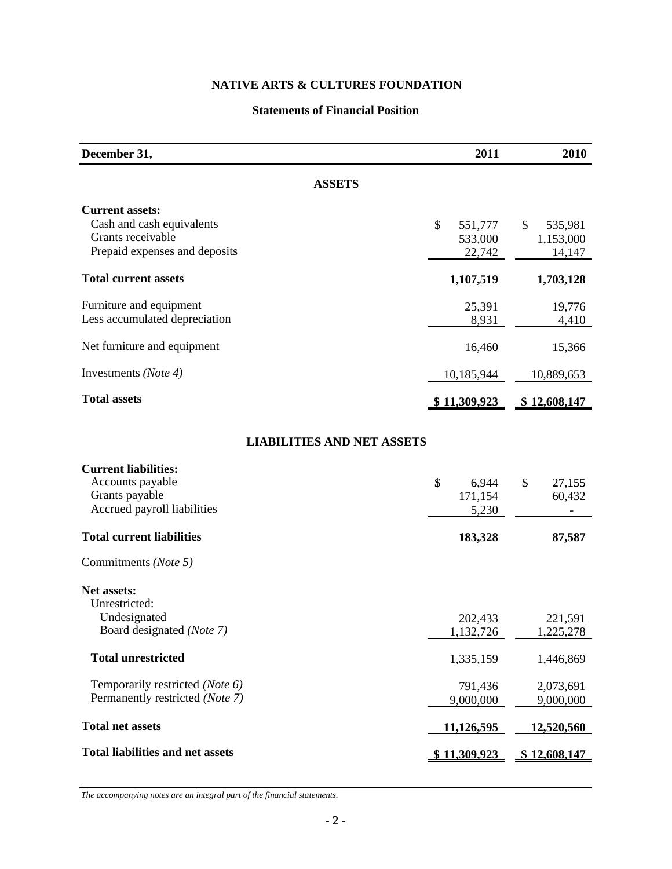## **Statements of Financial Position**

| December 31,                                                                                              | 2011                               | 2010                                 |
|-----------------------------------------------------------------------------------------------------------|------------------------------------|--------------------------------------|
| <b>ASSETS</b>                                                                                             |                                    |                                      |
| <b>Current assets:</b><br>Cash and cash equivalents<br>Grants receivable<br>Prepaid expenses and deposits | \$<br>551,777<br>533,000<br>22,742 | 535,981<br>\$<br>1,153,000<br>14,147 |
| <b>Total current assets</b>                                                                               | 1,107,519                          | 1,703,128                            |
| Furniture and equipment<br>Less accumulated depreciation                                                  | 25,391<br>8,931                    | 19,776<br>4,410                      |
| Net furniture and equipment                                                                               | 16,460                             | 15,366                               |
| Investments (Note 4)                                                                                      | 10,185,944                         | 10,889,653                           |
| <b>Total assets</b>                                                                                       | <u>\$11,309,923</u>                | <u>\$12,608,147</u>                  |
| <b>LIABILITIES AND NET ASSETS</b>                                                                         |                                    |                                      |
| <b>Current liabilities:</b><br>Accounts payable<br>Grants payable<br>Accrued payroll liabilities          | \$<br>6,944<br>171,154<br>5,230    | \$<br>27,155<br>60,432               |
| <b>Total current liabilities</b>                                                                          | 183,328                            | 87,587                               |
| Commitments (Note 5)                                                                                      |                                    |                                      |
| Net assets:<br>Unrestricted:<br>Undesignated                                                              | 202,433                            | 221,591                              |
| Board designated (Note 7)                                                                                 | 1,132,726                          | 1.225.278                            |
| <b>Total unrestricted</b>                                                                                 | 1,335,159                          | 1,446,869                            |
| Temporarily restricted (Note 6)<br>Permanently restricted (Note 7)                                        | 791,436<br>9,000,000               | 2,073,691<br>9,000,000               |
| <b>Total net assets</b>                                                                                   | 11,126,595                         | 12,520,560                           |
| <b>Total liabilities and net assets</b>                                                                   | <u>\$11,309,923</u>                | \$12,608,147                         |

*The accompanying notes are an integral part of the financial statements.*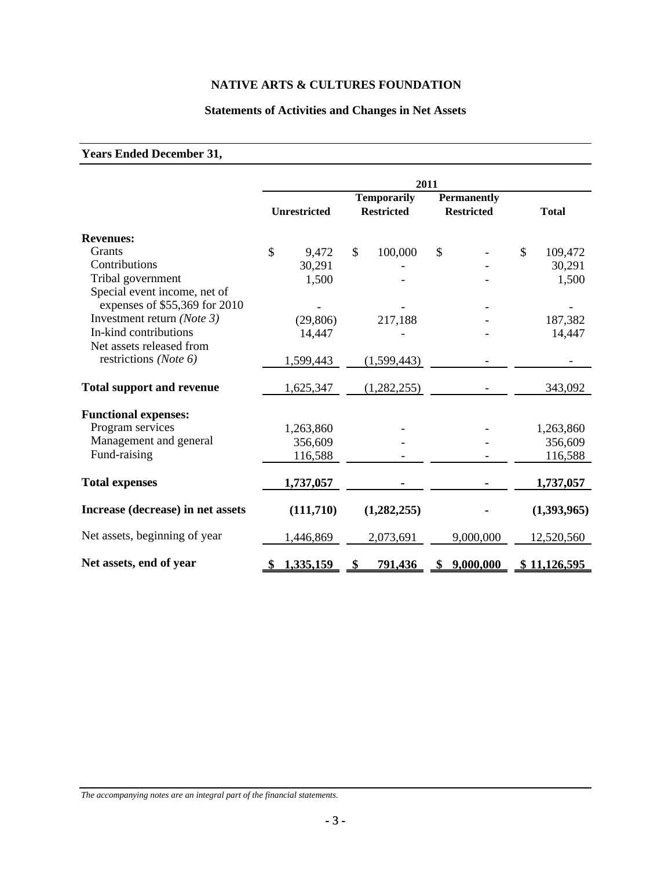## **Statements of Activities and Changes in Net Assets**

## **Years Ended December 31,**

|                                                               | 2011          |                     |               |                                         |               |                                         |               |              |
|---------------------------------------------------------------|---------------|---------------------|---------------|-----------------------------------------|---------------|-----------------------------------------|---------------|--------------|
|                                                               |               | <b>Unrestricted</b> |               | <b>Temporarily</b><br><b>Restricted</b> |               | <b>Permanently</b><br><b>Restricted</b> |               | <b>Total</b> |
| <b>Revenues:</b>                                              |               |                     |               |                                         |               |                                         |               |              |
| Grants                                                        | $\mathcal{S}$ | 9,472               | $\mathcal{S}$ | 100,000                                 | $\mathcal{S}$ |                                         | $\mathcal{S}$ | 109,472      |
| Contributions                                                 |               | 30,291              |               |                                         |               |                                         |               | 30,291       |
| Tribal government                                             |               | 1,500               |               |                                         |               |                                         |               | 1,500        |
| Special event income, net of<br>expenses of \$55,369 for 2010 |               |                     |               |                                         |               |                                         |               |              |
| Investment return (Note 3)                                    |               |                     |               |                                         |               |                                         |               |              |
| In-kind contributions                                         |               | (29, 806)           |               | 217,188                                 |               |                                         |               | 187,382      |
| Net assets released from                                      |               | 14,447              |               |                                         |               |                                         |               | 14,447       |
| restrictions ( <i>Note 6</i> )                                |               | 1,599,443           |               | (1,599,443)                             |               |                                         |               |              |
| <b>Total support and revenue</b>                              |               | 1,625,347           |               | (1,282,255)                             |               |                                         |               | 343,092      |
| <b>Functional expenses:</b>                                   |               |                     |               |                                         |               |                                         |               |              |
| Program services                                              |               | 1,263,860           |               |                                         |               |                                         |               | 1,263,860    |
| Management and general                                        |               | 356,609             |               |                                         |               |                                         |               | 356,609      |
| Fund-raising                                                  |               | 116,588             |               |                                         |               |                                         |               | 116,588      |
| <b>Total expenses</b>                                         |               | 1,737,057           |               |                                         |               |                                         |               | 1,737,057    |
| Increase (decrease) in net assets                             |               | (111,710)           |               | (1,282,255)                             |               |                                         |               | (1,393,965)  |
| Net assets, beginning of year                                 |               | 1,446,869           |               | 2,073,691                               |               | 9,000,000                               |               | 12,520,560   |
| Net assets, end of year                                       | - 56          | 1,335,159           | $\mathbf{s}$  | 791,436                                 |               | \$9,000,000                             |               | \$11,126,595 |

*The accompanying notes are an integral part of the financial statements.*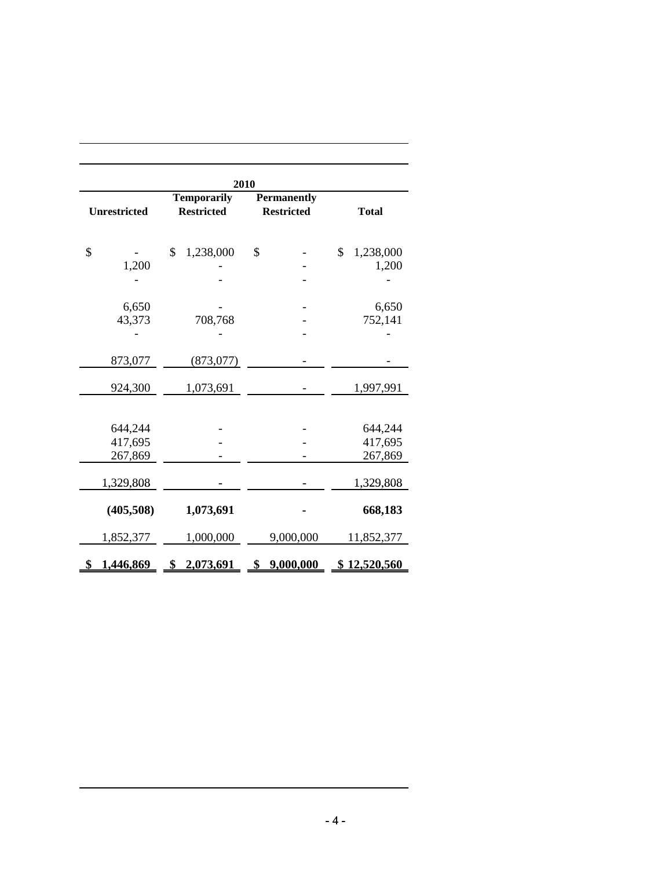|                     | 2010                                    |                                         |                 |
|---------------------|-----------------------------------------|-----------------------------------------|-----------------|
| <b>Unrestricted</b> | <b>Temporarily</b><br><b>Restricted</b> | <b>Permanently</b><br><b>Restricted</b> | <b>Total</b>    |
| \$                  | \$<br>1,238,000                         | \$                                      | \$<br>1,238,000 |
| 1,200               |                                         |                                         | 1,200           |
|                     |                                         |                                         |                 |
| 6,650               |                                         |                                         | 6,650           |
| 43,373              | 708,768                                 |                                         | 752,141         |
|                     |                                         |                                         |                 |
| 873,077             | (873, 077)                              |                                         |                 |
| 924,300             | 1,073,691                               |                                         | 1,997,991       |
| 644,244             |                                         |                                         | 644,244         |
| 417,695             |                                         |                                         | 417,695         |
| 267,869             |                                         |                                         | 267,869         |
| 1,329,808           |                                         |                                         | 1,329,808       |
| (405,508)           | 1,073,691                               |                                         | 668,183         |
| 1,852,377           | 1,000,000                               | 9,000,000                               | 11,852,377      |
| \$<br>1,446,869     | \$2,073,691                             | 9,000,000<br>\$                         | \$12,520,560    |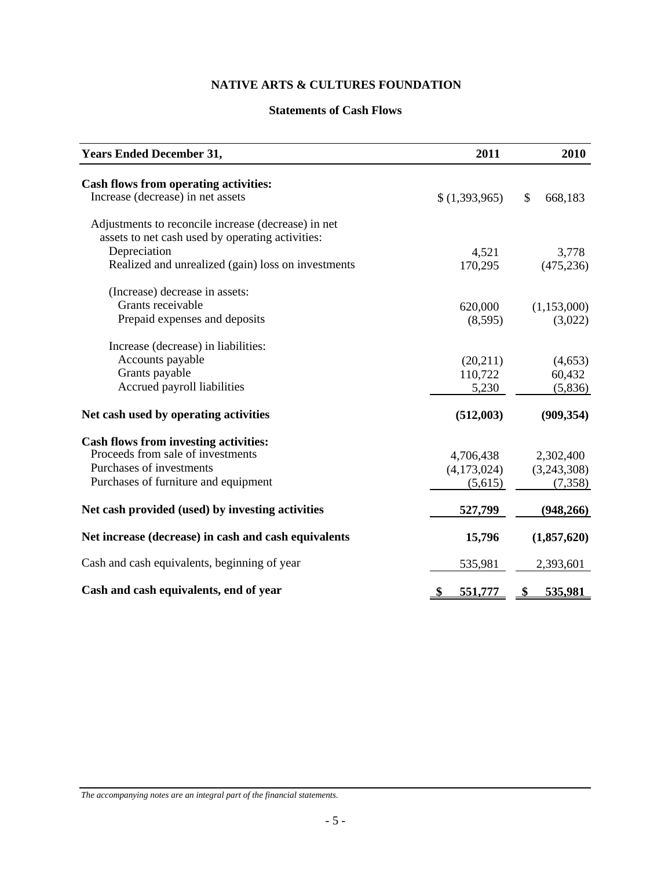## **Statements of Cash Flows**

| <b>Years Ended December 31,</b>                      | 2011          | 2010          |
|------------------------------------------------------|---------------|---------------|
| <b>Cash flows from operating activities:</b>         |               |               |
| Increase (decrease) in net assets                    | \$(1,393,965) | \$<br>668,183 |
| Adjustments to reconcile increase (decrease) in net  |               |               |
| assets to net cash used by operating activities:     |               |               |
| Depreciation                                         | 4,521         | 3,778         |
| Realized and unrealized (gain) loss on investments   | 170,295       | (475, 236)    |
| (Increase) decrease in assets:                       |               |               |
| Grants receivable                                    | 620,000       | (1,153,000)   |
| Prepaid expenses and deposits                        | (8,595)       | (3,022)       |
| Increase (decrease) in liabilities:                  |               |               |
| Accounts payable                                     | (20,211)      | (4,653)       |
| Grants payable                                       | 110,722       | 60,432        |
| Accrued payroll liabilities                          | 5,230         | (5,836)       |
| Net cash used by operating activities                | (512,003)     | (909, 354)    |
| <b>Cash flows from investing activities:</b>         |               |               |
| Proceeds from sale of investments                    | 4,706,438     | 2,302,400     |
| Purchases of investments                             | (4,173,024)   | (3,243,308)   |
| Purchases of furniture and equipment                 | (5,615)       | (7, 358)      |
| Net cash provided (used) by investing activities     | 527,799       | (948,266)     |
| Net increase (decrease) in cash and cash equivalents | 15,796        | (1,857,620)   |
| Cash and cash equivalents, beginning of year         | 535,981       | 2,393,601     |
| Cash and cash equivalents, end of year               | \$<br>551,777 | 535,981       |

*The accompanying notes are an integral part of the financial statements.*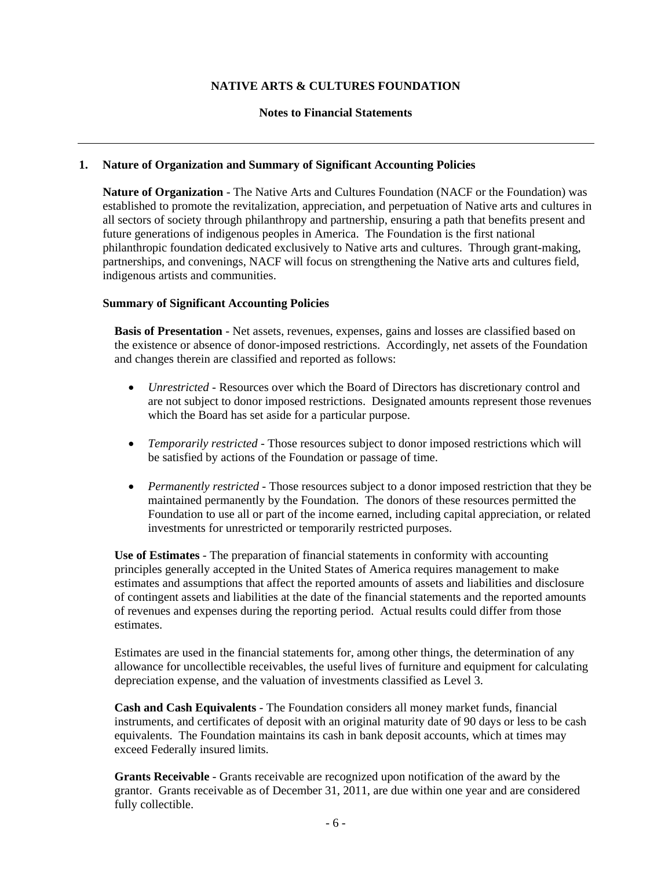#### **Notes to Financial Statements**

#### **1. Nature of Organization and Summary of Significant Accounting Policies**

**Nature of Organization** - The Native Arts and Cultures Foundation (NACF or the Foundation) was established to promote the revitalization, appreciation, and perpetuation of Native arts and cultures in all sectors of society through philanthropy and partnership, ensuring a path that benefits present and future generations of indigenous peoples in America. The Foundation is the first national philanthropic foundation dedicated exclusively to Native arts and cultures. Through grant-making, partnerships, and convenings, NACF will focus on strengthening the Native arts and cultures field, indigenous artists and communities.

#### **Summary of Significant Accounting Policies**

**Basis of Presentation** - Net assets, revenues, expenses, gains and losses are classified based on the existence or absence of donor-imposed restrictions. Accordingly, net assets of the Foundation and changes therein are classified and reported as follows:

- *Unrestricted* Resources over which the Board of Directors has discretionary control and are not subject to donor imposed restrictions. Designated amounts represent those revenues which the Board has set aside for a particular purpose.
- *Temporarily restricted* Those resources subject to donor imposed restrictions which will be satisfied by actions of the Foundation or passage of time.
- *Permanently restricted* Those resources subject to a donor imposed restriction that they be maintained permanently by the Foundation. The donors of these resources permitted the Foundation to use all or part of the income earned, including capital appreciation, or related investments for unrestricted or temporarily restricted purposes.

**Use of Estimates** - The preparation of financial statements in conformity with accounting principles generally accepted in the United States of America requires management to make estimates and assumptions that affect the reported amounts of assets and liabilities and disclosure of contingent assets and liabilities at the date of the financial statements and the reported amounts of revenues and expenses during the reporting period. Actual results could differ from those estimates.

Estimates are used in the financial statements for, among other things, the determination of any allowance for uncollectible receivables, the useful lives of furniture and equipment for calculating depreciation expense, and the valuation of investments classified as Level 3.

**Cash and Cash Equivalents** - The Foundation considers all money market funds, financial instruments, and certificates of deposit with an original maturity date of 90 days or less to be cash equivalents. The Foundation maintains its cash in bank deposit accounts, which at times may exceed Federally insured limits.

**Grants Receivable** - Grants receivable are recognized upon notification of the award by the grantor. Grants receivable as of December 31, 2011, are due within one year and are considered fully collectible.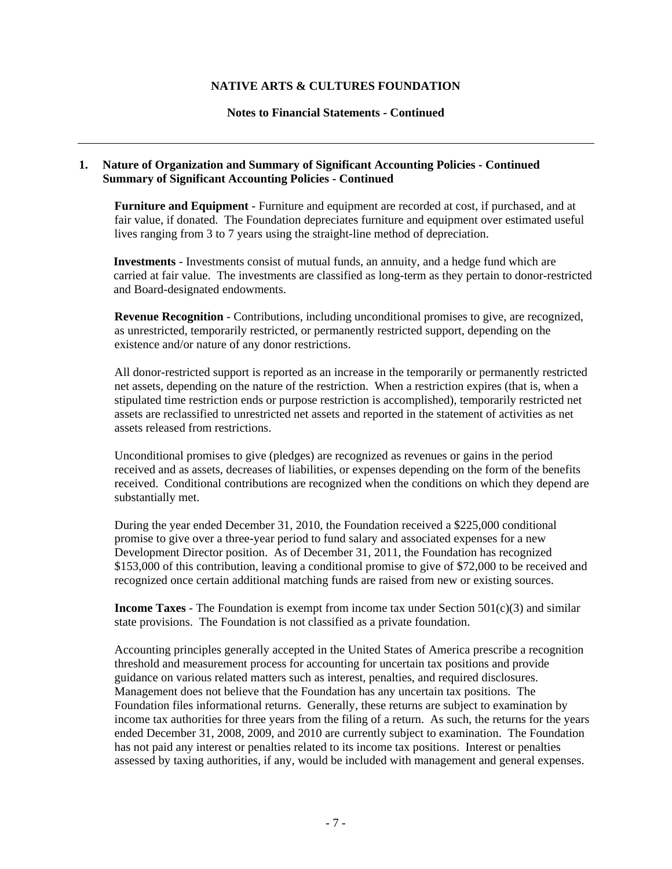#### **Notes to Financial Statements - Continued**

#### **1. Nature of Organization and Summary of Significant Accounting Policies - Continued Summary of Significant Accounting Policies - Continued**

**Furniture and Equipment** - Furniture and equipment are recorded at cost, if purchased, and at fair value, if donated. The Foundation depreciates furniture and equipment over estimated useful lives ranging from 3 to 7 years using the straight-line method of depreciation.

**Investments** - Investments consist of mutual funds, an annuity, and a hedge fund which are carried at fair value. The investments are classified as long-term as they pertain to donor-restricted and Board-designated endowments.

**Revenue Recognition** - Contributions, including unconditional promises to give, are recognized, as unrestricted, temporarily restricted, or permanently restricted support, depending on the existence and/or nature of any donor restrictions.

All donor-restricted support is reported as an increase in the temporarily or permanently restricted net assets, depending on the nature of the restriction. When a restriction expires (that is, when a stipulated time restriction ends or purpose restriction is accomplished), temporarily restricted net assets are reclassified to unrestricted net assets and reported in the statement of activities as net assets released from restrictions.

Unconditional promises to give (pledges) are recognized as revenues or gains in the period received and as assets, decreases of liabilities, or expenses depending on the form of the benefits received. Conditional contributions are recognized when the conditions on which they depend are substantially met.

During the year ended December 31, 2010, the Foundation received a \$225,000 conditional promise to give over a three-year period to fund salary and associated expenses for a new Development Director position. As of December 31, 2011, the Foundation has recognized \$153,000 of this contribution, leaving a conditional promise to give of \$72,000 to be received and recognized once certain additional matching funds are raised from new or existing sources.

**Income Taxes** - The Foundation is exempt from income tax under Section 501(c)(3) and similar state provisions. The Foundation is not classified as a private foundation.

Accounting principles generally accepted in the United States of America prescribe a recognition threshold and measurement process for accounting for uncertain tax positions and provide guidance on various related matters such as interest, penalties, and required disclosures. Management does not believe that the Foundation has any uncertain tax positions. The Foundation files informational returns. Generally, these returns are subject to examination by income tax authorities for three years from the filing of a return. As such, the returns for the years ended December 31, 2008, 2009, and 2010 are currently subject to examination. The Foundation has not paid any interest or penalties related to its income tax positions. Interest or penalties assessed by taxing authorities, if any, would be included with management and general expenses.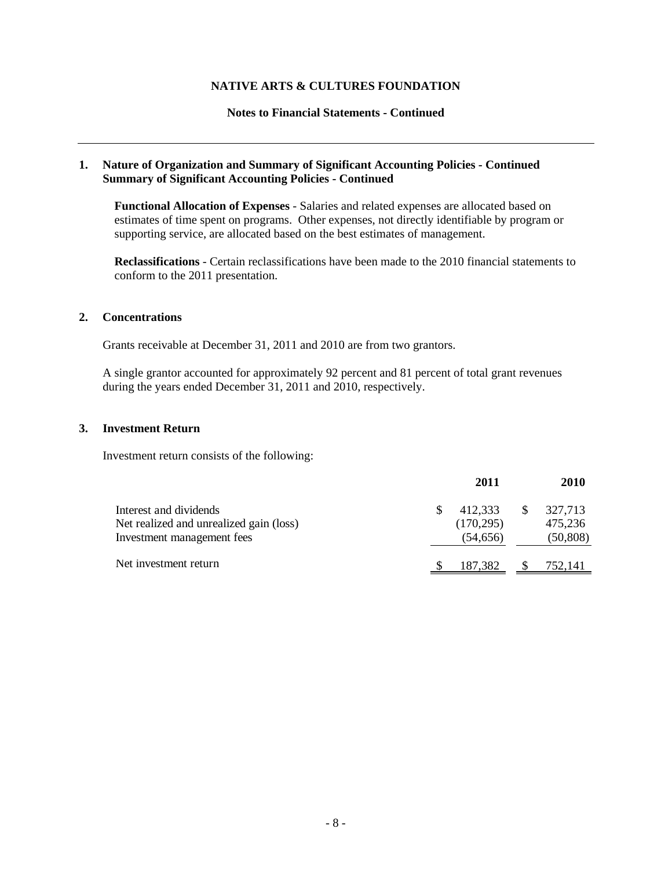#### **Notes to Financial Statements - Continued**

#### **1. Nature of Organization and Summary of Significant Accounting Policies - Continued Summary of Significant Accounting Policies - Continued**

**Functional Allocation of Expenses** - Salaries and related expenses are allocated based on estimates of time spent on programs. Other expenses, not directly identifiable by program or supporting service, are allocated based on the best estimates of management.

**Reclassifications** - Certain reclassifications have been made to the 2010 financial statements to conform to the 2011 presentation.

#### **2. Concentrations**

Grants receivable at December 31, 2011 and 2010 are from two grantors.

A single grantor accounted for approximately 92 percent and 81 percent of total grant revenues during the years ended December 31, 2011 and 2010, respectively.

#### **3. Investment Return**

Investment return consists of the following:

|                                                                                                 | 2011                               |     | <b>2010</b>                     |
|-------------------------------------------------------------------------------------------------|------------------------------------|-----|---------------------------------|
| Interest and dividends<br>Net realized and unrealized gain (loss)<br>Investment management fees | 412,333<br>(170, 295)<br>(54, 656) | \$. | 327,713<br>475,236<br>(50, 808) |
| Net investment return                                                                           | 187,382                            |     | 752,141                         |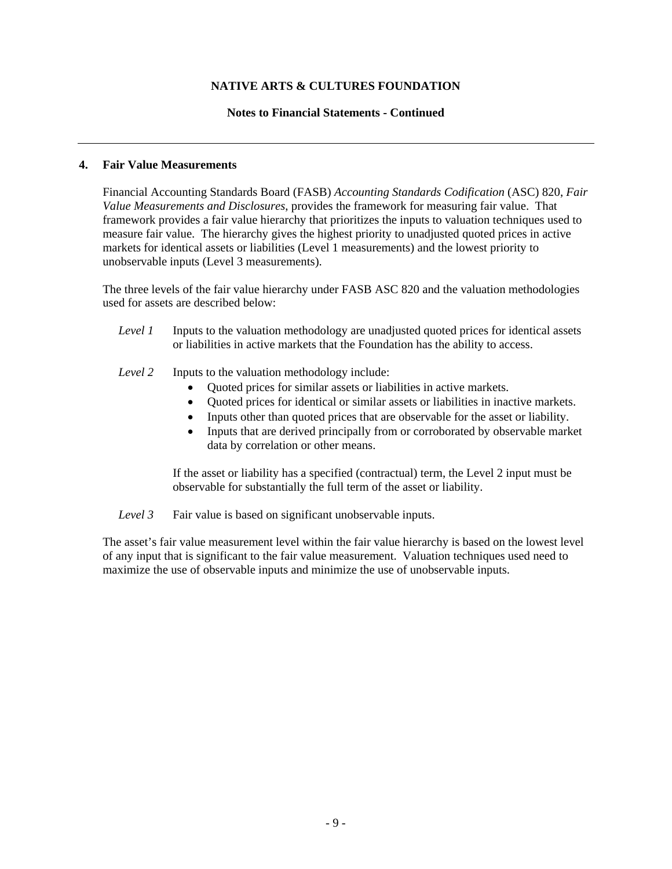#### **Notes to Financial Statements - Continued**

#### **4. Fair Value Measurements**

Financial Accounting Standards Board (FASB) *Accounting Standards Codification* (ASC) 820, *Fair Value Measurements and Disclosures*, provides the framework for measuring fair value. That framework provides a fair value hierarchy that prioritizes the inputs to valuation techniques used to measure fair value. The hierarchy gives the highest priority to unadjusted quoted prices in active markets for identical assets or liabilities (Level 1 measurements) and the lowest priority to unobservable inputs (Level 3 measurements).

The three levels of the fair value hierarchy under FASB ASC 820 and the valuation methodologies used for assets are described below:

- *Level 1* Inputs to the valuation methodology are unadjusted quoted prices for identical assets or liabilities in active markets that the Foundation has the ability to access.
- *Level 2* Inputs to the valuation methodology include:
	- Quoted prices for similar assets or liabilities in active markets.
	- Quoted prices for identical or similar assets or liabilities in inactive markets.
	- Inputs other than quoted prices that are observable for the asset or liability.
	- Inputs that are derived principally from or corroborated by observable market data by correlation or other means.

If the asset or liability has a specified (contractual) term, the Level 2 input must be observable for substantially the full term of the asset or liability.

*Level 3* Fair value is based on significant unobservable inputs.

The asset's fair value measurement level within the fair value hierarchy is based on the lowest level of any input that is significant to the fair value measurement. Valuation techniques used need to maximize the use of observable inputs and minimize the use of unobservable inputs.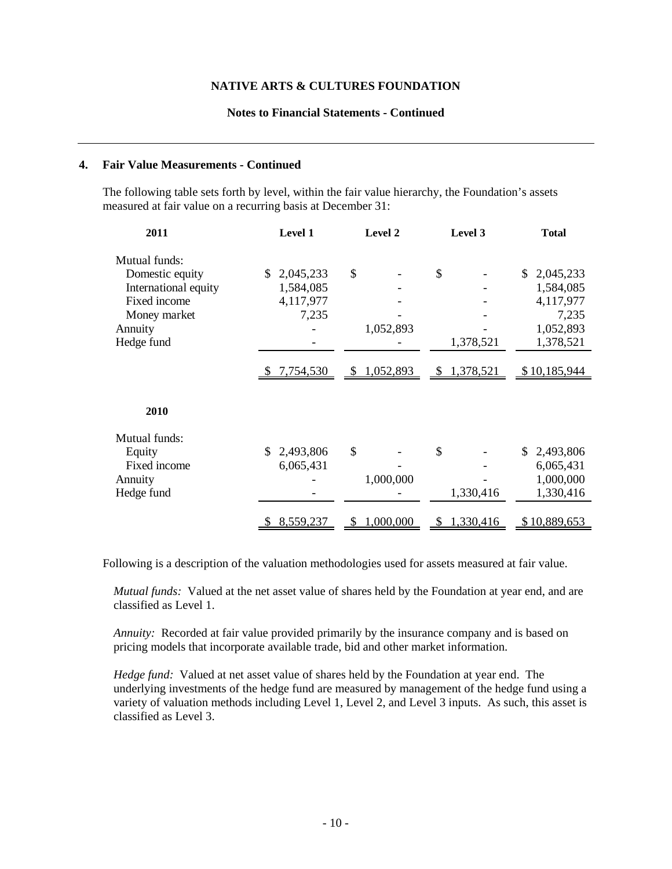#### **Notes to Financial Statements - Continued**

#### **4. Fair Value Measurements - Continued**

The following table sets forth by level, within the fair value hierarchy, the Foundation's assets measured at fair value on a recurring basis at December 31:

| 2011                 | Level 1          | Level 2     | Level 3                    | <b>Total</b>    |
|----------------------|------------------|-------------|----------------------------|-----------------|
| Mutual funds:        |                  |             |                            |                 |
| Domestic equity      | 2,045,233<br>\$. | \$          | \$                         | 2,045,233<br>S. |
| International equity | 1,584,085        |             |                            | 1,584,085       |
| Fixed income         | 4,117,977        |             |                            | 4,117,977       |
| Money market         | 7,235            |             |                            | 7,235           |
| Annuity              |                  | 1,052,893   |                            | 1,052,893       |
| Hedge fund           |                  |             | 1,378,521                  | 1,378,521       |
|                      |                  |             |                            |                 |
|                      | \$7,754,530      | \$1,052,893 | 1,378,521<br>$\mathcal{S}$ | \$10,185,944    |
|                      |                  |             |                            |                 |
|                      |                  |             |                            |                 |
| 2010                 |                  |             |                            |                 |
| Mutual funds:        |                  |             |                            |                 |
| Equity               | 2,493,806        | \$          | \$                         | 2,493,806<br>S. |
| Fixed income         | 6,065,431        |             |                            | 6,065,431       |
| Annuity              |                  | 1,000,000   |                            | 1,000,000       |
| Hedge fund           |                  |             | 1,330,416                  | 1,330,416       |
|                      |                  |             |                            |                 |
|                      | 8,559,237        | 1,000,000   | 1,330,416<br>\$            | \$10,889,653    |

Following is a description of the valuation methodologies used for assets measured at fair value.

*Mutual funds:* Valued at the net asset value of shares held by the Foundation at year end, and are classified as Level 1.

*Annuity:* Recorded at fair value provided primarily by the insurance company and is based on pricing models that incorporate available trade, bid and other market information.

*Hedge fund:* Valued at net asset value of shares held by the Foundation at year end. The underlying investments of the hedge fund are measured by management of the hedge fund using a variety of valuation methods including Level 1, Level 2, and Level 3 inputs. As such, this asset is classified as Level 3.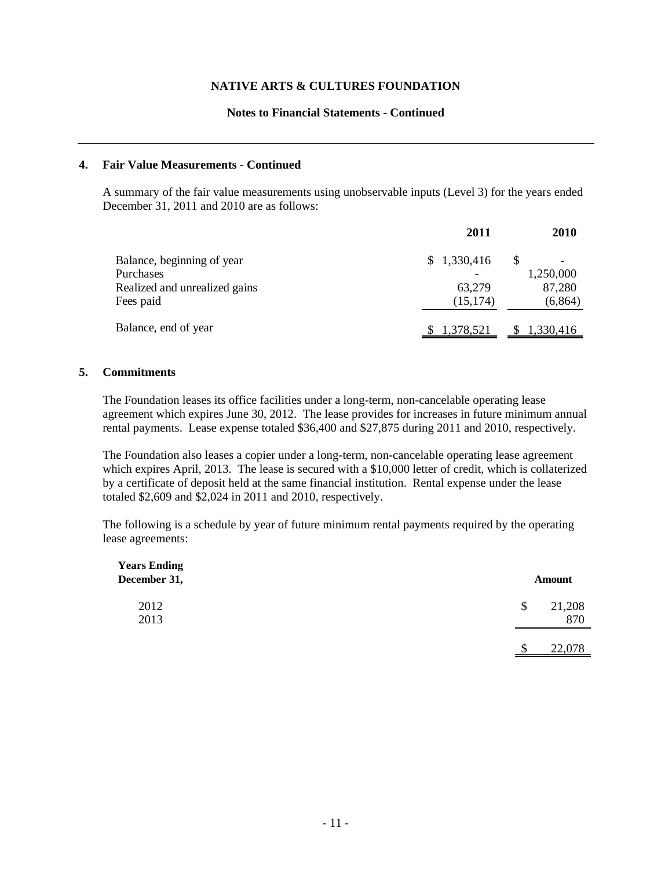#### **Notes to Financial Statements - Continued**

#### **4. Fair Value Measurements - Continued**

A summary of the fair value measurements using unobservable inputs (Level 3) for the years ended December 31, 2011 and 2010 are as follows:

|                               | 2011        | 2010      |
|-------------------------------|-------------|-----------|
| Balance, beginning of year    | \$1,330,416 | S         |
| Purchases                     |             | 1,250,000 |
| Realized and unrealized gains | 63,279      | 87,280    |
| Fees paid                     | (15, 174)   | (6, 864)  |
| Balance, end of year          | 1,378,521   | 1,330,416 |

#### **5. Commitments**

The Foundation leases its office facilities under a long-term, non-cancelable operating lease agreement which expires June 30, 2012. The lease provides for increases in future minimum annual rental payments. Lease expense totaled \$36,400 and \$27,875 during 2011 and 2010, respectively.

The Foundation also leases a copier under a long-term, non-cancelable operating lease agreement which expires April, 2013. The lease is secured with a \$10,000 letter of credit, which is collaterized by a certificate of deposit held at the same financial institution. Rental expense under the lease totaled \$2,609 and \$2,024 in 2011 and 2010, respectively.

The following is a schedule by year of future minimum rental payments required by the operating lease agreements:

| <b>Years Ending</b><br>December 31, | <b>Amount</b>       |
|-------------------------------------|---------------------|
| 2012<br>2013                        | \$<br>21,208<br>870 |
|                                     | 22,078<br>¢         |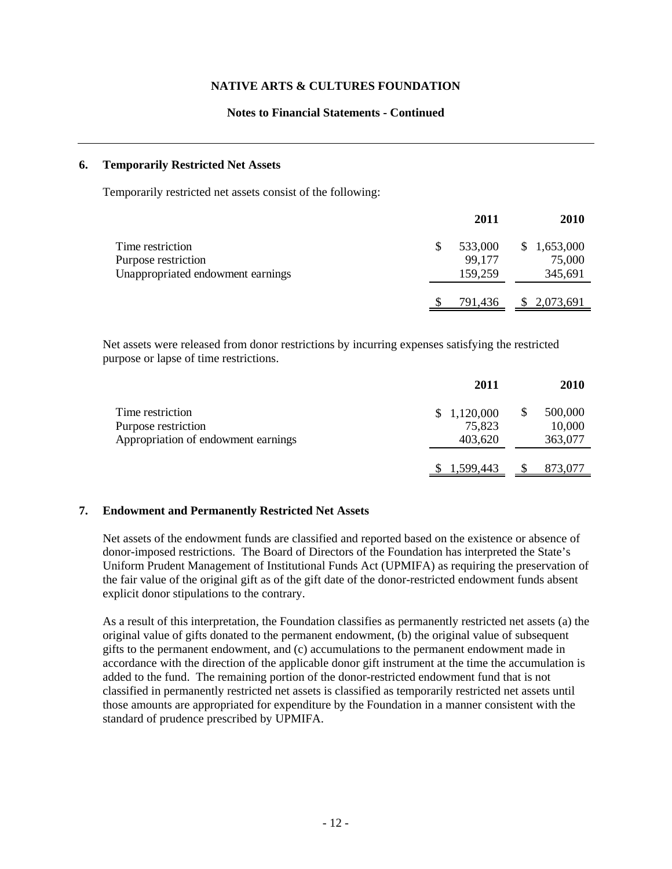#### **Notes to Financial Statements - Continued**

#### **6. Temporarily Restricted Net Assets**

Temporarily restricted net assets consist of the following:

|                                   | 2011    | <b>2010</b>  |
|-----------------------------------|---------|--------------|
| Time restriction                  | 533,000 | \$1,653,000  |
| Purpose restriction               | 99,177  | 75,000       |
| Unappropriated endowment earnings | 159,259 | 345,691      |
|                                   | 791,436 | \$ 2,073,691 |

Net assets were released from donor restrictions by incurring expenses satisfying the restricted purpose or lapse of time restrictions.

|                                                                                | 2011                             | <b>2010</b>                        |
|--------------------------------------------------------------------------------|----------------------------------|------------------------------------|
| Time restriction<br>Purpose restriction<br>Appropriation of endowment earnings | \$1,120,000<br>75,823<br>403,620 | \$<br>500,000<br>10,000<br>363,077 |
|                                                                                | 1,599,443                        | 873,077                            |

#### **7. Endowment and Permanently Restricted Net Assets**

Net assets of the endowment funds are classified and reported based on the existence or absence of donor-imposed restrictions. The Board of Directors of the Foundation has interpreted the State's Uniform Prudent Management of Institutional Funds Act (UPMIFA) as requiring the preservation of the fair value of the original gift as of the gift date of the donor-restricted endowment funds absent explicit donor stipulations to the contrary.

As a result of this interpretation, the Foundation classifies as permanently restricted net assets (a) the original value of gifts donated to the permanent endowment, (b) the original value of subsequent gifts to the permanent endowment, and (c) accumulations to the permanent endowment made in accordance with the direction of the applicable donor gift instrument at the time the accumulation is added to the fund. The remaining portion of the donor-restricted endowment fund that is not classified in permanently restricted net assets is classified as temporarily restricted net assets until those amounts are appropriated for expenditure by the Foundation in a manner consistent with the standard of prudence prescribed by UPMIFA.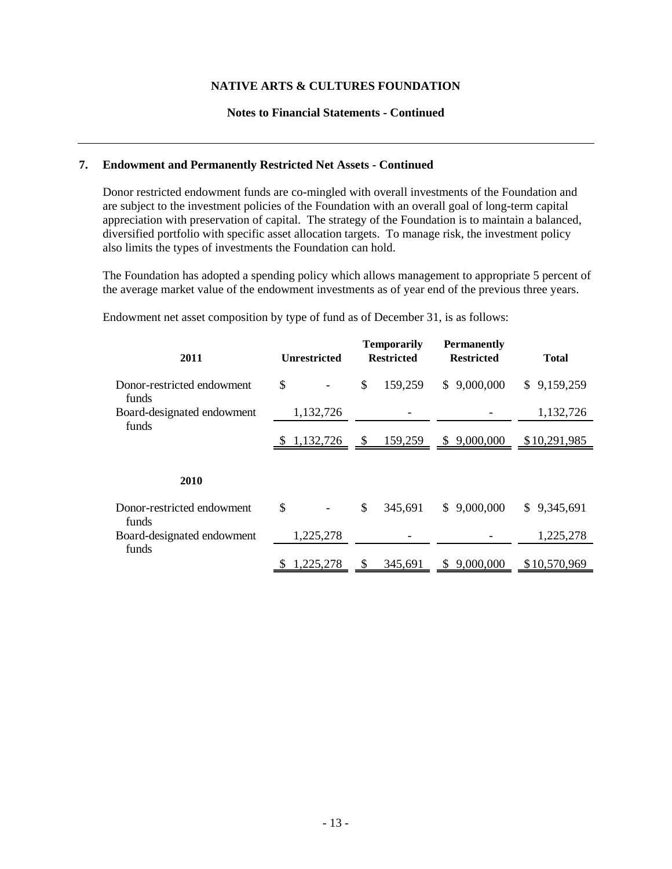#### **Notes to Financial Statements - Continued**

#### **7. Endowment and Permanently Restricted Net Assets - Continued**

Donor restricted endowment funds are co-mingled with overall investments of the Foundation and are subject to the investment policies of the Foundation with an overall goal of long-term capital appreciation with preservation of capital. The strategy of the Foundation is to maintain a balanced, diversified portfolio with specific asset allocation targets. To manage risk, the investment policy also limits the types of investments the Foundation can hold.

The Foundation has adopted a spending policy which allows management to appropriate 5 percent of the average market value of the endowment investments as of year end of the previous three years.

**Temporarily Permanently Unrestricted Restricted Restricted Total** Donor-restricted endowment  $\qquad$  \$  $\qquad$  -  $\qquad$  \$  $\qquad$  159,259  $\qquad$  \$ 9,000,000  $\qquad$  \$ 9,159,259 funds Board-designated endowment 1,132,726 - 1,132,726 funds  $$1,132,726$   $$159,259$   $$9,000,000$   $$10,291,985$ Donor-restricted endowment  $\qquad$  \$  $\qquad$  -  $\qquad$  \$ 345,691  $\qquad$  \$ 9,000,000  $\qquad$  \$ 9,345,691 funds Board-designated endowment 1,225,278 - - 1,225,278 funds 1,225,278 \$ 345,691 \$ 9,000,000 \$ 10,570,969 **2011 2010**

Endowment net asset composition by type of fund as of December 31, is as follows: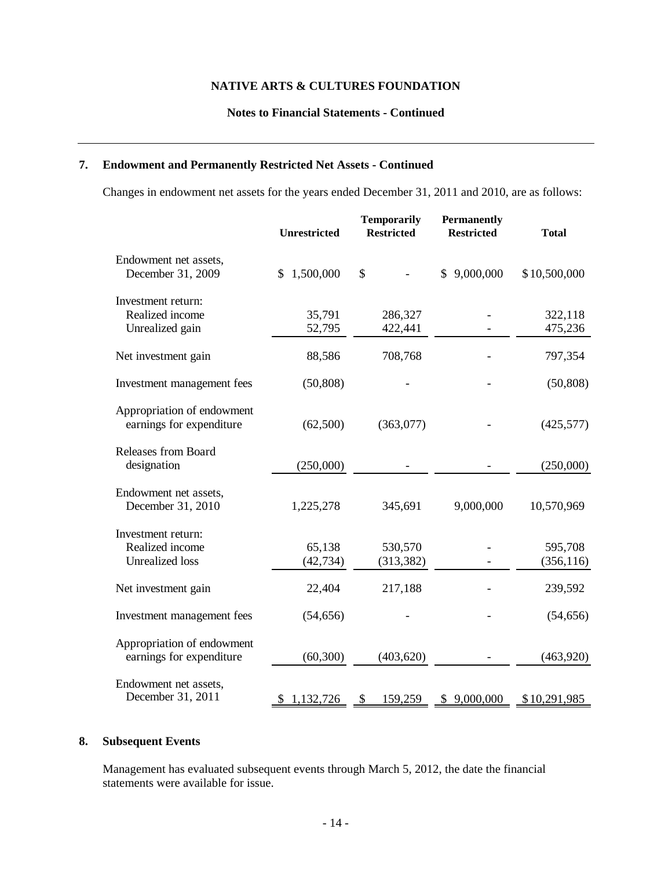#### **Notes to Financial Statements - Continued**

## **7. Endowment and Permanently Restricted Net Assets - Continued**

Changes in endowment net assets for the years ended December 31, 2011 and 2010, are as follows:

|                                                                 | <b>Unrestricted</b> | <b>Temporarily</b><br><b>Restricted</b> | <b>Permanently</b><br><b>Restricted</b> | <b>Total</b>          |
|-----------------------------------------------------------------|---------------------|-----------------------------------------|-----------------------------------------|-----------------------|
| Endowment net assets,<br>December 31, 2009                      | 1,500,000<br>\$     | \$                                      | \$9,000,000                             | \$10,500,000          |
| Investment return:<br>Realized income<br>Unrealized gain        | 35,791<br>52,795    | 286,327<br>422,441                      |                                         | 322,118<br>475,236    |
| Net investment gain                                             | 88,586              | 708,768                                 |                                         | 797,354               |
| Investment management fees                                      | (50, 808)           |                                         |                                         | (50, 808)             |
| Appropriation of endowment<br>earnings for expenditure          | (62,500)            | (363,077)                               |                                         | (425,577)             |
| Releases from Board<br>designation                              | (250,000)           |                                         |                                         | (250,000)             |
| Endowment net assets,<br>December 31, 2010                      | 1,225,278           | 345,691                                 | 9,000,000                               | 10,570,969            |
| Investment return:<br>Realized income<br><b>Unrealized</b> loss | 65,138<br>(42, 734) | 530,570<br>(313, 382)                   |                                         | 595,708<br>(356, 116) |
| Net investment gain                                             | 22,404              | 217,188                                 |                                         | 239,592               |
| Investment management fees                                      | (54, 656)           |                                         |                                         | (54, 656)             |
| Appropriation of endowment<br>earnings for expenditure          | (60, 300)           | (403, 620)                              |                                         | (463,920)             |
| Endowment net assets,<br>December 31, 2011                      | 1,132,726<br>S      | 159,259<br>S                            | 9,000,000<br>\$                         | \$10,291,985          |

#### **8. Subsequent Events**

Management has evaluated subsequent events through March 5, 2012, the date the financial statements were available for issue.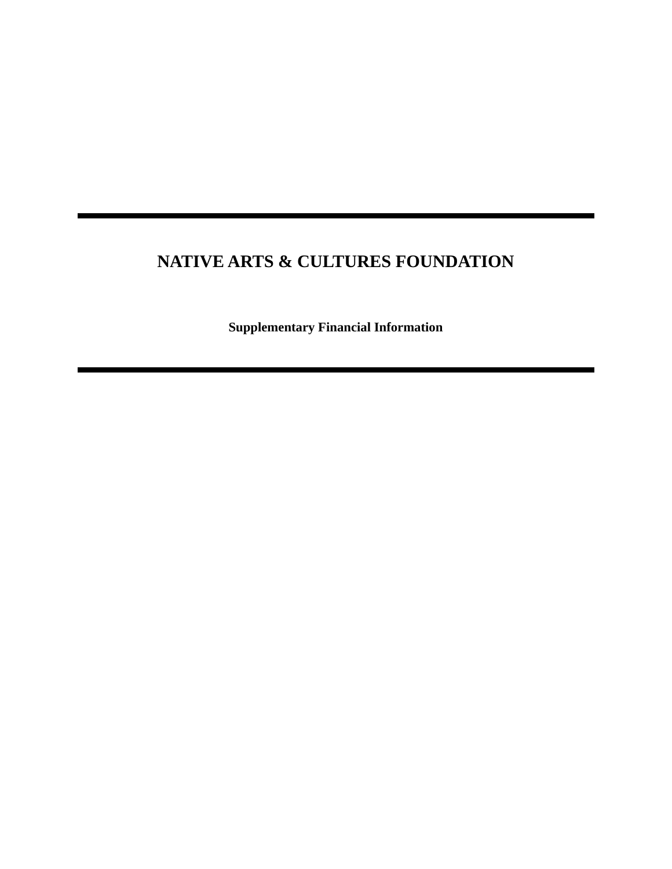**Supplementary Financial Information**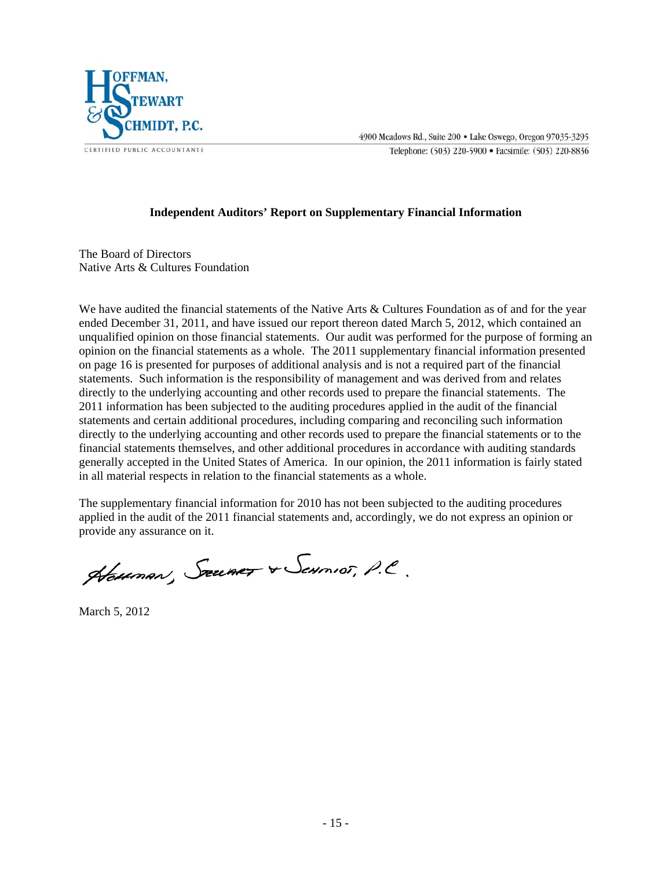

4900 Meadows Rd., Suite 200 . Lake Oswego, Oregon 97035-3295

Telephone: (503) 220-5900 · Facsimile: (503) 220-8836

#### **Independent Auditors' Report on Supplementary Financial Information**

The Board of Directors Native Arts & Cultures Foundation

We have audited the financial statements of the Native Arts & Cultures Foundation as of and for the year ended December 31, 2011, and have issued our report thereon dated March 5, 2012, which contained an unqualified opinion on those financial statements. Our audit was performed for the purpose of forming an opinion on the financial statements as a whole. The 2011 supplementary financial information presented on page 16 is presented for purposes of additional analysis and is not a required part of the financial statements. Such information is the responsibility of management and was derived from and relates directly to the underlying accounting and other records used to prepare the financial statements. The 2011 information has been subjected to the auditing procedures applied in the audit of the financial statements and certain additional procedures, including comparing and reconciling such information directly to the underlying accounting and other records used to prepare the financial statements or to the financial statements themselves, and other additional procedures in accordance with auditing standards generally accepted in the United States of America. In our opinion, the 2011 information is fairly stated in all material respects in relation to the financial statements as a whole.

The supplementary financial information for 2010 has not been subjected to the auditing procedures applied in the audit of the 2011 financial statements and, accordingly, we do not express an opinion or provide any assurance on it.

Hauman, Szumer & Sennior, P.C.

March 5, 2012